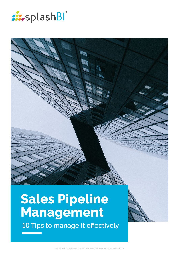

# **Sales Pipeline Management 10 Tips to manage it effectively**

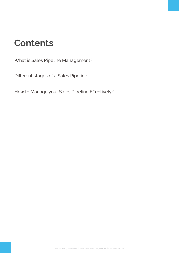## **Contents**

[What is Sales Pipeline Management?](#page-2-0)

[Different stages of a Sales Pipeline](#page-2-0)

[How to Manage your Sales Pipeline Effectively?](#page-3-0)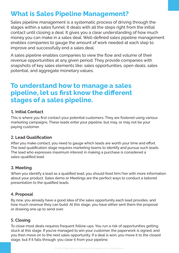## <span id="page-2-0"></span>**What is Sales Pipeline Management?**

Sales pipeline management is a systematic process of driving through the stages within a sales funnel. It deals with all the steps right from the initial contact until closing a deal. It gives you a clear understanding of how much money you can make in a sales deal. Well-defined sales pipeline management enables companies to gauge the amount of work needed at each step to improve and successfully end a sales deal.

A sales pipeline enables companies to view the flow and volume of their revenue opportunities at any given period. They provide companies with snapshots of key sales elements like; sales opportunities, open deals, sales potential, and aggregate monetary values.

### **To understand how to manage a sales pipeline, let us first know the different stages of a sales pipeline.**

#### **1. Initial Contact**

This is where you first contact your potential customers. They are fostered using various marketing campaigns. These leads enter your pipeline, but may, or may not be your paying customer.

#### **2. Lead Qualification**

After you make contact, you need to gauge which leads are worth your time and effort. The lead qualification stage requires marketing teams to identify and pursue such leads. The lead who expresses maximum interest in making a purchase is considered a sales-qualified lead.

#### **3. Meeting**

When you identify a lead as a qualified lead, you should feed him/her with more information about your product. Sales demo or Meetings are the perfect ways to conduct a tailored presentation to the qualified leads.

#### **4. Proposal**

By now, you already have a good idea of the sales opportunity each lead provides, and how much revenue they can build. At this stage, you have either sent them the proposal or drawing one up to send over.

#### **5. Closing**

To close most deals requires frequent follow-ups. You run a risk of opportunities getting stuck at this stage. If you've managed to win your customer, the paperwork is signed, and you then move on to the next sales opportunity. If a deal is won, you move it to the closed stage, but if it falls through, you clear it from your pipeline.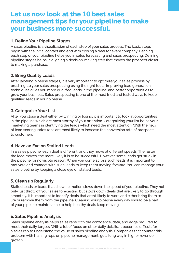## <span id="page-3-0"></span>**Let us now look at the** 10 **best sales management tips for your pipeline to make your business more successful.**

#### **1. Define Your Pipeline Stages**

A sales pipeline is a visualization of each step of your sales process. The basic steps begin with the initial contact and end with closing a deal for every company. Defining each step of your pipeline helps you in sales forecasting and sales prospecting. Defining pipeline stages helps in aligning a decision-making step that moves the prospect closer to making a purchase.

#### **2. Bring Quality Leads**

After labeling pipeline stages, it is very important to optimize your sales process by brushing up your sales prospecting using the right tools. Improving lead generation techniques gives you more qualified leads in the pipeline, and better opportunities to grow your business. Sales prospecting is one of the most tried and tested ways to keep qualified leads in your pipeline.

#### **3. Categorize Your List**

After you close a deal either by winning or losing, it is important to look at opportunities in the pipeline which are most worthy of your attention. Categorizing your list helps your marketing teams in identifying the leads which need the most attention. With the help of lead scoring, sales reps are most likely to increase the conversion rate of prospects to customers.

#### **4. Have an Eye on Stalled Leads**

In a sales pipeline, each deal is different, and they move at different speeds. The faster the lead moves, the more likely it is to be successful. However, some leads get stuck in the pipeline for no visible reason. When you come across such leads, it is important to motivate and connect with such leads to keep them moving forward. You can manage your sales pipeline by keeping a close eye on stalled leads.

#### **5. Clean up Regularly**

Stalled leads or leads that show no motion slows down the speed of your pipeline. They not only just throw off your sales forecasting but slows down deals that are likely to go through smoothly. It is important to identify deals that aren't likely to work and either bring them to life or remove them from the pipeline. Cleaning your pipeline every day should be a part of your pipeline maintenance to help healthy deals keep moving.

#### **6. Sales Pipeline Analysis**

Sales pipeline analysis helps sales reps with the confidence, data, and edge required to meet their daily targets. With a lot of focus on other daily details, it becomes difficult for a sales rep to understand the value of sales pipeline analysis. Companies that counter this problem with training reps on pipeline management, go a long way in higher revenue growth.